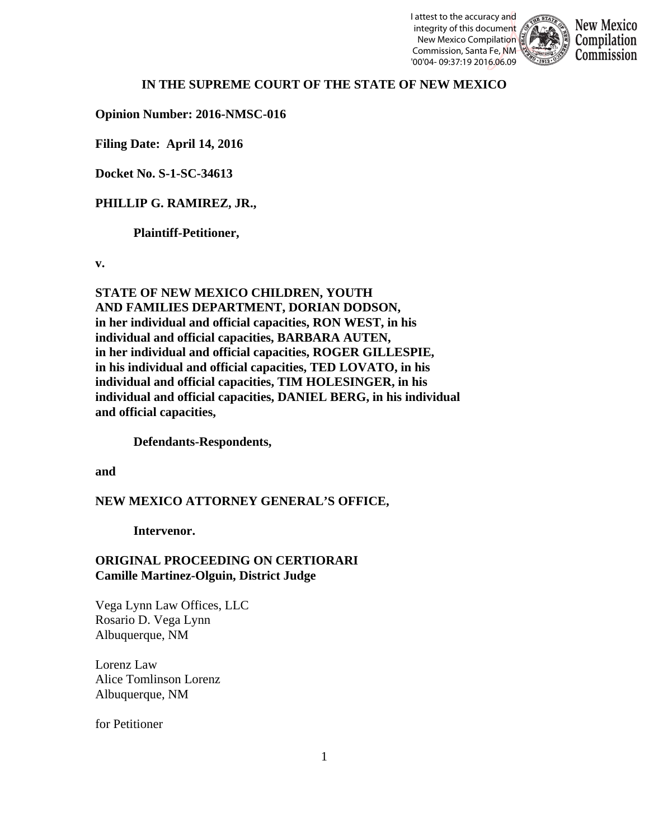I attest to the accuracy and integrity of this document New Mexico Compilation Commission, Santa Fe, NM '00'04- 09:37:19 2016.06.09



### **IN THE SUPREME COURT OF THE STATE OF NEW MEXICO**

**Opinion Number: 2016-NMSC-016**

**Filing Date: April 14, 2016**

**Docket No. S-1-SC-34613**

## **PHILLIP G. RAMIREZ, JR.,**

**Plaintiff-Petitioner,**

**v.**

**STATE OF NEW MEXICO CHILDREN, YOUTH AND FAMILIES DEPARTMENT, DORIAN DODSON, in her individual and official capacities, RON WEST, in his individual and official capacities, BARBARA AUTEN, in her individual and official capacities, ROGER GILLESPIE, in his individual and official capacities, TED LOVATO, in his individual and official capacities, TIM HOLESINGER, in his individual and official capacities, DANIEL BERG, in his individual and official capacities,** 

**Defendants-Respondents,** 

**and**

### **NEW MEXICO ATTORNEY GENERAL'S OFFICE,**

**Intervenor.**

## **ORIGINAL PROCEEDING ON CERTIORARI Camille Martinez-Olguin, District Judge**

Vega Lynn Law Offices, LLC Rosario D. Vega Lynn Albuquerque, NM

Lorenz Law Alice Tomlinson Lorenz Albuquerque, NM

for Petitioner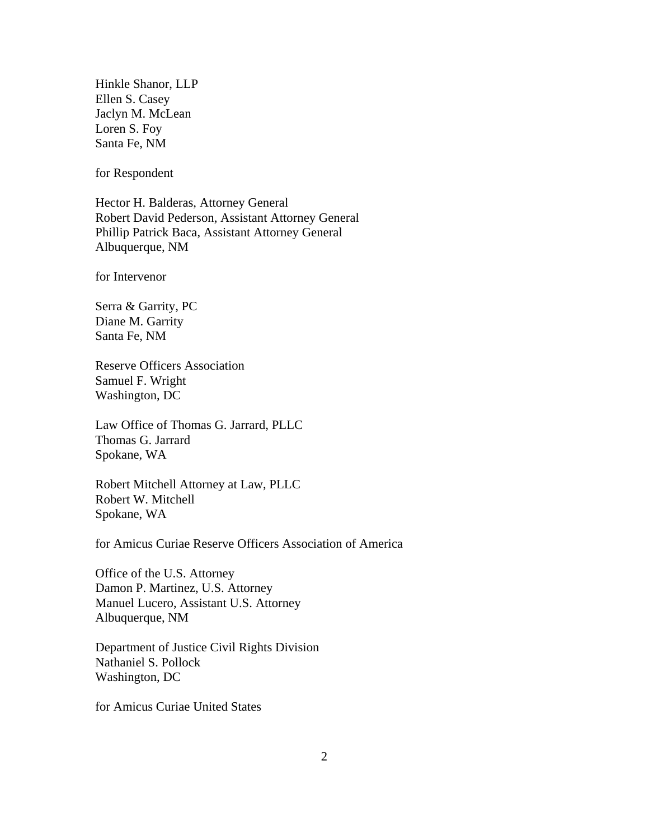Hinkle Shanor, LLP Ellen S. Casey Jaclyn M. McLean Loren S. Foy Santa Fe, NM

for Respondent

Hector H. Balderas, Attorney General Robert David Pederson, Assistant Attorney General Phillip Patrick Baca, Assistant Attorney General Albuquerque, NM

for Intervenor

Serra & Garrity, PC Diane M. Garrity Santa Fe, NM

Reserve Officers Association Samuel F. Wright Washington, DC

Law Office of Thomas G. Jarrard, PLLC Thomas G. Jarrard Spokane, WA

Robert Mitchell Attorney at Law, PLLC Robert W. Mitchell Spokane, WA

for Amicus Curiae Reserve Officers Association of America

Office of the U.S. Attorney Damon P. Martinez, U.S. Attorney Manuel Lucero, Assistant U.S. Attorney Albuquerque, NM

Department of Justice Civil Rights Division Nathaniel S. Pollock Washington, DC

for Amicus Curiae United States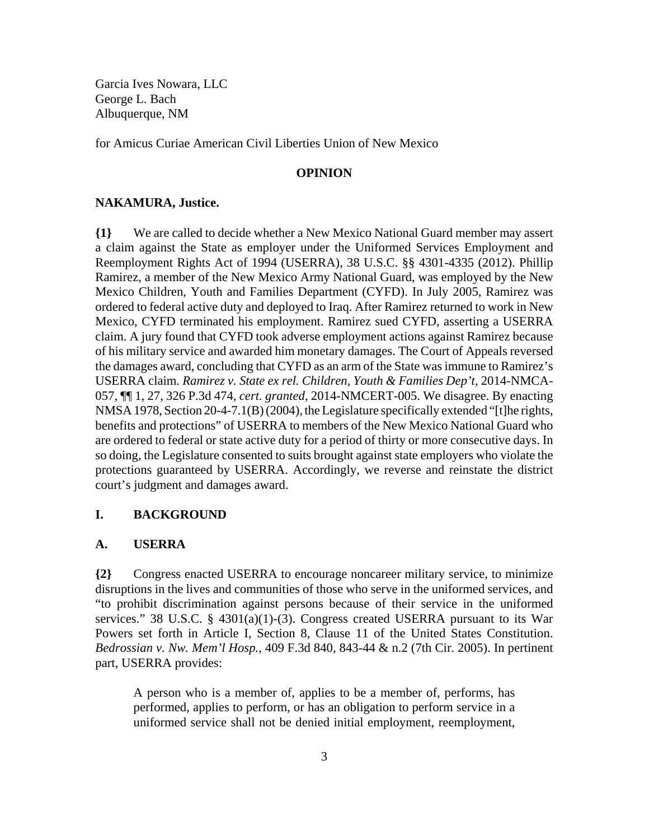Garcia Ives Nowara, LLC George L. Bach Albuquerque, NM

for Amicus Curiae American Civil Liberties Union of New Mexico

#### **OPINION**

#### **NAKAMURA, Justice.**

**{1}** We are called to decide whether a New Mexico National Guard member may assert a claim against the State as employer under the Uniformed Services Employment and Reemployment Rights Act of 1994 (USERRA), 38 U.S.C. §§ 4301-4335 (2012). Phillip Ramirez, a member of the New Mexico Army National Guard, was employed by the New Mexico Children, Youth and Families Department (CYFD). In July 2005, Ramirez was ordered to federal active duty and deployed to Iraq. After Ramirez returned to work in New Mexico, CYFD terminated his employment. Ramirez sued CYFD, asserting a USERRA claim. A jury found that CYFD took adverse employment actions against Ramirez because of his military service and awarded him monetary damages. The Court of Appeals reversed the damages award, concluding that CYFD as an arm of the State was immune to Ramirez's USERRA claim. *Ramirez v. State ex rel. Children, Youth & Families Dep't*, 2014-NMCA-057, ¶¶ 1, 27, 326 P.3d 474, *cert. granted*, 2014-NMCERT-005. We disagree. By enacting NMSA 1978, Section 20-4-7.1(B) (2004), the Legislature specifically extended "[t]he rights, benefits and protections" of USERRA to members of the New Mexico National Guard who are ordered to federal or state active duty for a period of thirty or more consecutive days. In so doing, the Legislature consented to suits brought against state employers who violate the protections guaranteed by USERRA. Accordingly, we reverse and reinstate the district court's judgment and damages award.

### **I. BACKGROUND**

#### **A. USERRA**

**{2}** Congress enacted USERRA to encourage noncareer military service, to minimize disruptions in the lives and communities of those who serve in the uniformed services, and "to prohibit discrimination against persons because of their service in the uniformed services." 38 U.S.C. § 4301(a)(1)-(3). Congress created USERRA pursuant to its War Powers set forth in Article I, Section 8, Clause 11 of the United States Constitution. *Bedrossian v. Nw. Mem'l Hosp.*, 409 F.3d 840, 843-44 & n.2 (7th Cir. 2005). In pertinent part, USERRA provides:

A person who is a member of, applies to be a member of, performs, has performed, applies to perform, or has an obligation to perform service in a uniformed service shall not be denied initial employment, reemployment,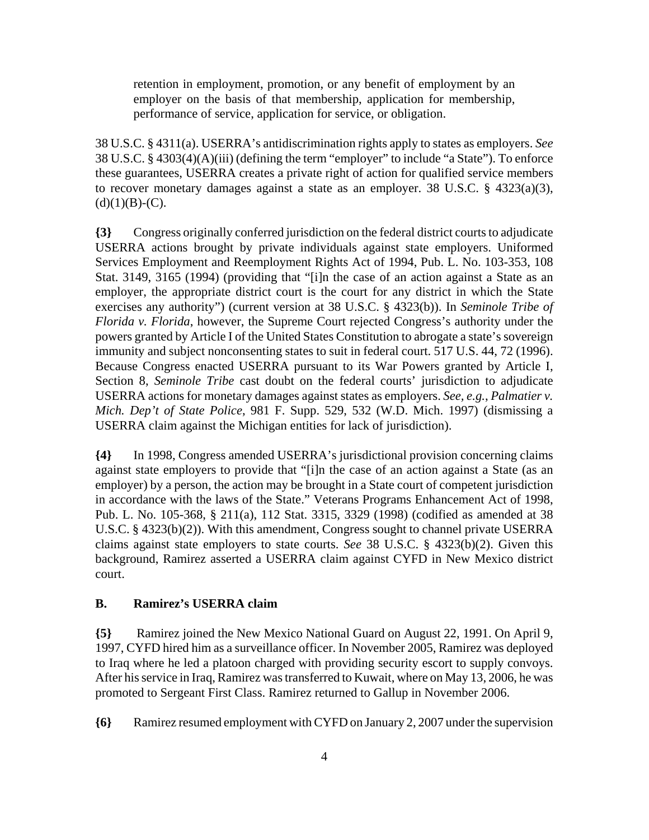retention in employment, promotion, or any benefit of employment by an employer on the basis of that membership, application for membership, performance of service, application for service, or obligation.

38 U.S.C. § 4311(a). USERRA's antidiscrimination rights apply to states as employers. *See* 38 U.S.C. § 4303(4)(A)(iii) (defining the term "employer" to include "a State"). To enforce these guarantees, USERRA creates a private right of action for qualified service members to recover monetary damages against a state as an employer. 38 U.S.C. § 4323(a)(3),  $(d)(1)(B)-(C).$ 

**{3}** Congress originally conferred jurisdiction on the federal district courts to adjudicate USERRA actions brought by private individuals against state employers. Uniformed Services Employment and Reemployment Rights Act of 1994, Pub. L. No. 103-353, 108 Stat. 3149, 3165 (1994) (providing that "[i]n the case of an action against a State as an employer, the appropriate district court is the court for any district in which the State exercises any authority") (current version at 38 U.S.C. § 4323(b)). In *Seminole Tribe of Florida v. Florida*, however, the Supreme Court rejected Congress's authority under the powers granted by Article I of the United States Constitution to abrogate a state's sovereign immunity and subject nonconsenting states to suit in federal court. 517 U.S. 44, 72 (1996). Because Congress enacted USERRA pursuant to its War Powers granted by Article I, Section 8, *Seminole Tribe* cast doubt on the federal courts' jurisdiction to adjudicate USERRA actions for monetary damages against states as employers. *See, e.g.*, *Palmatier v. Mich. Dep't of State Police*, 981 F. Supp. 529, 532 (W.D. Mich. 1997) (dismissing a USERRA claim against the Michigan entities for lack of jurisdiction).

**{4}** In 1998, Congress amended USERRA's jurisdictional provision concerning claims against state employers to provide that "[i]n the case of an action against a State (as an employer) by a person, the action may be brought in a State court of competent jurisdiction in accordance with the laws of the State." Veterans Programs Enhancement Act of 1998, Pub. L. No. 105-368, § 211(a), 112 Stat. 3315, 3329 (1998) (codified as amended at 38 U.S.C. § 4323(b)(2)). With this amendment, Congress sought to channel private USERRA claims against state employers to state courts. *See* 38 U.S.C. § 4323(b)(2). Given this background, Ramirez asserted a USERRA claim against CYFD in New Mexico district court.

### **B. Ramirez's USERRA claim**

**{5}** Ramirez joined the New Mexico National Guard on August 22, 1991. On April 9, 1997, CYFD hired him as a surveillance officer. In November 2005, Ramirez was deployed to Iraq where he led a platoon charged with providing security escort to supply convoys. After his service in Iraq, Ramirez was transferred to Kuwait, where on May 13, 2006, he was promoted to Sergeant First Class. Ramirez returned to Gallup in November 2006.

**{6}** Ramirez resumed employment with CYFD on January 2, 2007 under the supervision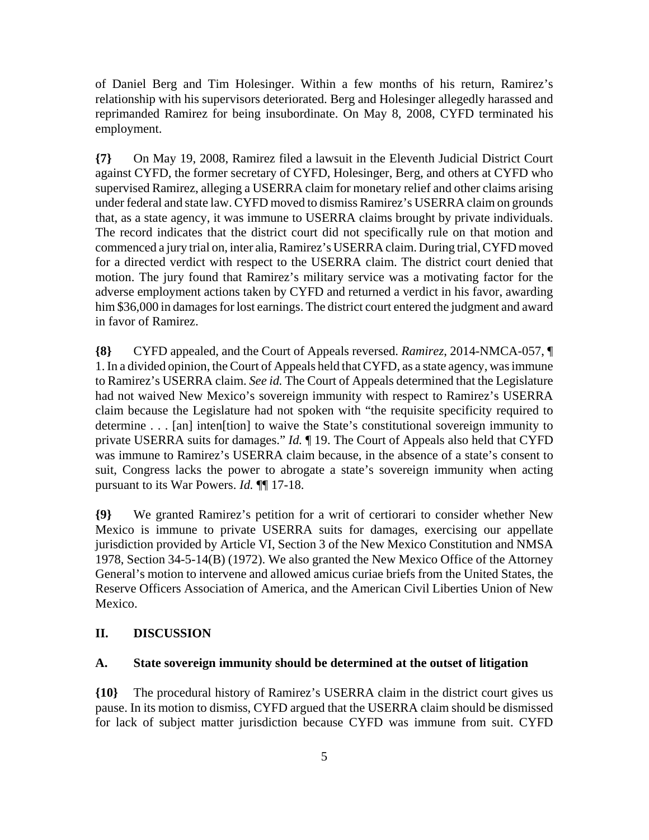of Daniel Berg and Tim Holesinger. Within a few months of his return, Ramirez's relationship with his supervisors deteriorated. Berg and Holesinger allegedly harassed and reprimanded Ramirez for being insubordinate. On May 8, 2008, CYFD terminated his employment.

**{7}** On May 19, 2008, Ramirez filed a lawsuit in the Eleventh Judicial District Court against CYFD, the former secretary of CYFD, Holesinger, Berg, and others at CYFD who supervised Ramirez, alleging a USERRA claim for monetary relief and other claims arising under federal and state law. CYFD moved to dismiss Ramirez's USERRA claim on grounds that, as a state agency, it was immune to USERRA claims brought by private individuals. The record indicates that the district court did not specifically rule on that motion and commenced a jury trial on, inter alia, Ramirez's USERRA claim. During trial, CYFD moved for a directed verdict with respect to the USERRA claim. The district court denied that motion. The jury found that Ramirez's military service was a motivating factor for the adverse employment actions taken by CYFD and returned a verdict in his favor, awarding him \$36,000 in damages for lost earnings. The district court entered the judgment and award in favor of Ramirez.

**{8}** CYFD appealed, and the Court of Appeals reversed. *Ramirez*, 2014-NMCA-057, ¶ 1. In a divided opinion, the Court of Appeals held that CYFD, as a state agency, was immune to Ramirez's USERRA claim. *See id.* The Court of Appeals determined that the Legislature had not waived New Mexico's sovereign immunity with respect to Ramirez's USERRA claim because the Legislature had not spoken with "the requisite specificity required to determine . . . [an] inten[tion] to waive the State's constitutional sovereign immunity to private USERRA suits for damages." *Id.* ¶ 19. The Court of Appeals also held that CYFD was immune to Ramirez's USERRA claim because, in the absence of a state's consent to suit, Congress lacks the power to abrogate a state's sovereign immunity when acting pursuant to its War Powers. *Id.* ¶¶ 17-18.

**{9}** We granted Ramirez's petition for a writ of certiorari to consider whether New Mexico is immune to private USERRA suits for damages, exercising our appellate jurisdiction provided by Article VI, Section 3 of the New Mexico Constitution and NMSA 1978, Section 34-5-14(B) (1972). We also granted the New Mexico Office of the Attorney General's motion to intervene and allowed amicus curiae briefs from the United States, the Reserve Officers Association of America, and the American Civil Liberties Union of New Mexico.

## **II. DISCUSSION**

### **A. State sovereign immunity should be determined at the outset of litigation**

**{10}** The procedural history of Ramirez's USERRA claim in the district court gives us pause. In its motion to dismiss, CYFD argued that the USERRA claim should be dismissed for lack of subject matter jurisdiction because CYFD was immune from suit. CYFD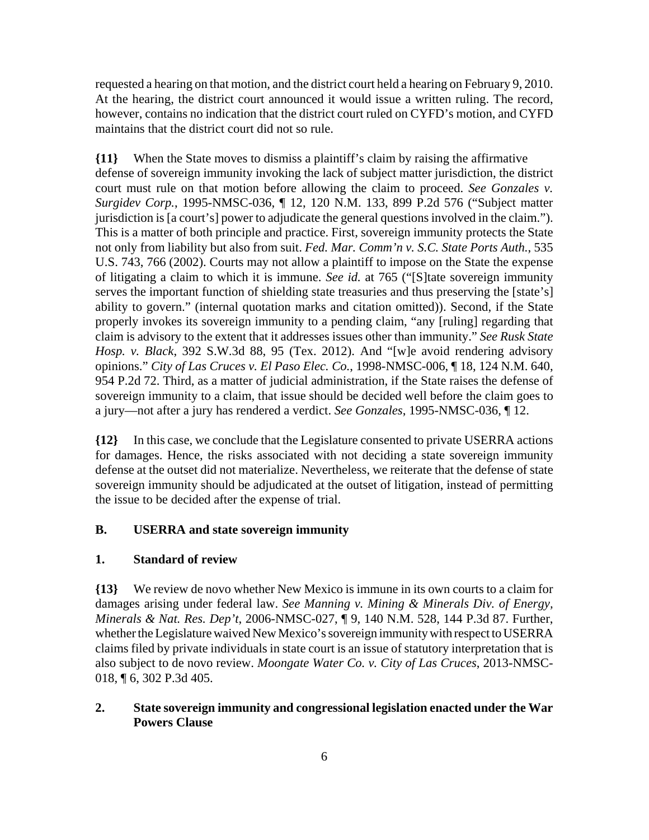requested a hearing on that motion, and the district court held a hearing on February 9, 2010. At the hearing, the district court announced it would issue a written ruling. The record, however, contains no indication that the district court ruled on CYFD's motion, and CYFD maintains that the district court did not so rule.

**{11}** When the State moves to dismiss a plaintiff's claim by raising the affirmative defense of sovereign immunity invoking the lack of subject matter jurisdiction, the district court must rule on that motion before allowing the claim to proceed. *See Gonzales v. Surgidev Corp.*, 1995-NMSC-036, ¶ 12, 120 N.M. 133, 899 P.2d 576 ("Subject matter jurisdiction is [a court's] power to adjudicate the general questions involved in the claim."). This is a matter of both principle and practice. First, sovereign immunity protects the State not only from liability but also from suit. *Fed. Mar. Comm'n v. S.C. State Ports Auth.*, 535 U.S. 743, 766 (2002). Courts may not allow a plaintiff to impose on the State the expense of litigating a claim to which it is immune. *See id.* at 765 ("[S]tate sovereign immunity serves the important function of shielding state treasuries and thus preserving the [state's] ability to govern." (internal quotation marks and citation omitted)). Second, if the State properly invokes its sovereign immunity to a pending claim, "any [ruling] regarding that claim is advisory to the extent that it addresses issues other than immunity." *See Rusk State Hosp. v. Black*, 392 S.W.3d 88, 95 (Tex. 2012). And "[w]e avoid rendering advisory opinions." *City of Las Cruces v. El Paso Elec. Co.*, 1998-NMSC-006, ¶ 18, 124 N.M. 640, 954 P.2d 72. Third, as a matter of judicial administration, if the State raises the defense of sovereign immunity to a claim, that issue should be decided well before the claim goes to a jury—not after a jury has rendered a verdict. *See Gonzales*, 1995-NMSC-036, ¶ 12.

**{12}** In this case, we conclude that the Legislature consented to private USERRA actions for damages. Hence, the risks associated with not deciding a state sovereign immunity defense at the outset did not materialize. Nevertheless, we reiterate that the defense of state sovereign immunity should be adjudicated at the outset of litigation, instead of permitting the issue to be decided after the expense of trial.

## **B. USERRA and state sovereign immunity**

### **1. Standard of review**

**{13}** We review de novo whether New Mexico is immune in its own courts to a claim for damages arising under federal law. *See Manning v. Mining & Minerals Div. of Energy, Minerals & Nat. Res. Dep't*, 2006-NMSC-027, ¶ 9, 140 N.M. 528, 144 P.3d 87. Further, whether the Legislature waived New Mexico's sovereign immunity with respect to USERRA claims filed by private individuals in state court is an issue of statutory interpretation that is also subject to de novo review. *Moongate Water Co. v. City of Las Cruces*, 2013-NMSC-018, ¶ 6, 302 P.3d 405.

# **2. State sovereign immunity and congressional legislation enacted under the War Powers Clause**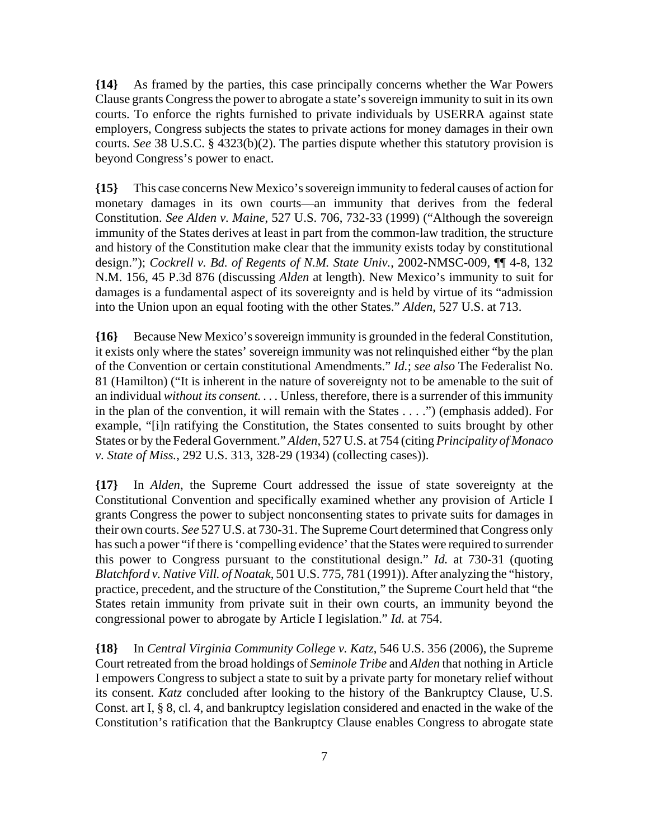**{14}** As framed by the parties, this case principally concerns whether the War Powers Clause grants Congress the power to abrogate a state's sovereign immunity to suit in its own courts. To enforce the rights furnished to private individuals by USERRA against state employers, Congress subjects the states to private actions for money damages in their own courts. *See* 38 U.S.C. § 4323(b)(2). The parties dispute whether this statutory provision is beyond Congress's power to enact.

**{15}** This case concerns New Mexico's sovereign immunity to federal causes of action for monetary damages in its own courts—an immunity that derives from the federal Constitution. *See Alden v. Maine*, 527 U.S. 706, 732-33 (1999) ("Although the sovereign immunity of the States derives at least in part from the common-law tradition, the structure and history of the Constitution make clear that the immunity exists today by constitutional design."); *Cockrell v. Bd. of Regents of N.M. State Univ.*, 2002-NMSC-009, ¶¶ 4-8, 132 N.M. 156, 45 P.3d 876 (discussing *Alden* at length). New Mexico's immunity to suit for damages is a fundamental aspect of its sovereignty and is held by virtue of its "admission into the Union upon an equal footing with the other States." *Alden*, 527 U.S. at 713.

**{16}** Because New Mexico's sovereign immunity is grounded in the federal Constitution, it exists only where the states' sovereign immunity was not relinquished either "by the plan of the Convention or certain constitutional Amendments." *Id.*; *see also* The Federalist No. 81 (Hamilton) ("It is inherent in the nature of sovereignty not to be amenable to the suit of an individual *without its consent. . . .* Unless, therefore, there is a surrender of this immunity in the plan of the convention, it will remain with the States . . . .") (emphasis added). For example, "[i]n ratifying the Constitution, the States consented to suits brought by other States or by the Federal Government." *Alden*, 527 U.S. at 754 (citing *Principality of Monaco v. State of Miss.*, 292 U.S. 313, 328-29 (1934) (collecting cases)).

**{17}** In *Alden*, the Supreme Court addressed the issue of state sovereignty at the Constitutional Convention and specifically examined whether any provision of Article I grants Congress the power to subject nonconsenting states to private suits for damages in their own courts. *See* 527 U.S. at 730-31. The Supreme Court determined that Congress only has such a power "if there is 'compelling evidence' that the States were required to surrender this power to Congress pursuant to the constitutional design." *Id.* at 730-31 (quoting *Blatchford v. Native Vill. of Noatak*, 501 U.S. 775, 781 (1991)). After analyzing the "history, practice, precedent, and the structure of the Constitution," the Supreme Court held that "the States retain immunity from private suit in their own courts, an immunity beyond the congressional power to abrogate by Article I legislation." *Id.* at 754.

**{18}** In *Central Virginia Community College v. Katz*, 546 U.S. 356 (2006), the Supreme Court retreated from the broad holdings of *Seminole Tribe* and *Alden* that nothing in Article I empowers Congress to subject a state to suit by a private party for monetary relief without its consent. *Katz* concluded after looking to the history of the Bankruptcy Clause, U.S. Const. art I, § 8, cl. 4, and bankruptcy legislation considered and enacted in the wake of the Constitution's ratification that the Bankruptcy Clause enables Congress to abrogate state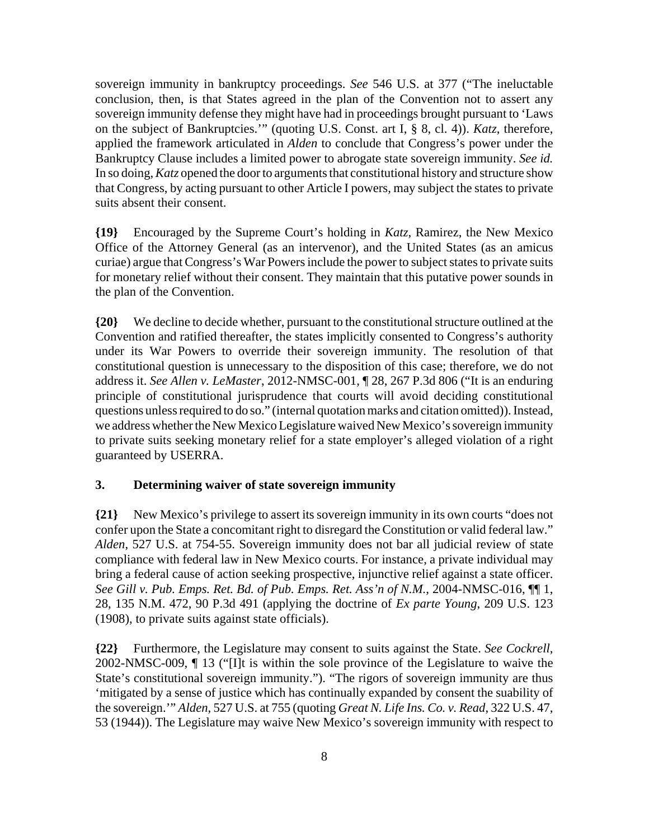sovereign immunity in bankruptcy proceedings. *See* 546 U.S. at 377 ("The ineluctable conclusion, then, is that States agreed in the plan of the Convention not to assert any sovereign immunity defense they might have had in proceedings brought pursuant to 'Laws on the subject of Bankruptcies.'" (quoting U.S. Const. art I, § 8, cl. 4)). *Katz*, therefore, applied the framework articulated in *Alden* to conclude that Congress's power under the Bankruptcy Clause includes a limited power to abrogate state sovereign immunity. *See id.* In so doing, *Katz* opened the door to arguments that constitutional history and structure show that Congress, by acting pursuant to other Article I powers, may subject the states to private suits absent their consent.

**{19}** Encouraged by the Supreme Court's holding in *Katz*, Ramirez, the New Mexico Office of the Attorney General (as an intervenor), and the United States (as an amicus curiae) argue that Congress's War Powers include the power to subject states to private suits for monetary relief without their consent. They maintain that this putative power sounds in the plan of the Convention.

**{20}** We decline to decide whether, pursuant to the constitutional structure outlined at the Convention and ratified thereafter, the states implicitly consented to Congress's authority under its War Powers to override their sovereign immunity. The resolution of that constitutional question is unnecessary to the disposition of this case; therefore, we do not address it. *See Allen v. LeMaster*, 2012-NMSC-001, ¶ 28, 267 P.3d 806 ("It is an enduring principle of constitutional jurisprudence that courts will avoid deciding constitutional questions unless required to do so." (internal quotation marks and citation omitted)). Instead, we address whether the New Mexico Legislature waived New Mexico's sovereign immunity to private suits seeking monetary relief for a state employer's alleged violation of a right guaranteed by USERRA.

## **3. Determining waiver of state sovereign immunity**

**{21}** New Mexico's privilege to assert its sovereign immunity in its own courts "does not confer upon the State a concomitant right to disregard the Constitution or valid federal law." *Alden*, 527 U.S. at 754-55. Sovereign immunity does not bar all judicial review of state compliance with federal law in New Mexico courts. For instance, a private individual may bring a federal cause of action seeking prospective, injunctive relief against a state officer. *See Gill v. Pub. Emps. Ret. Bd. of Pub. Emps. Ret. Ass'n of N.M.*, 2004-NMSC-016, ¶¶ 1, 28, 135 N.M. 472, 90 P.3d 491 (applying the doctrine of *Ex parte Young*, 209 U.S. 123 (1908), to private suits against state officials).

**{22}** Furthermore, the Legislature may consent to suits against the State. *See Cockrell*, 2002-NMSC-009, ¶ 13 ("[I]t is within the sole province of the Legislature to waive the State's constitutional sovereign immunity."). "The rigors of sovereign immunity are thus 'mitigated by a sense of justice which has continually expanded by consent the suability of the sovereign.'" *Alden*, 527 U.S. at 755 (quoting *Great N. Life Ins. Co. v. Read*, 322 U.S. 47, 53 (1944)). The Legislature may waive New Mexico's sovereign immunity with respect to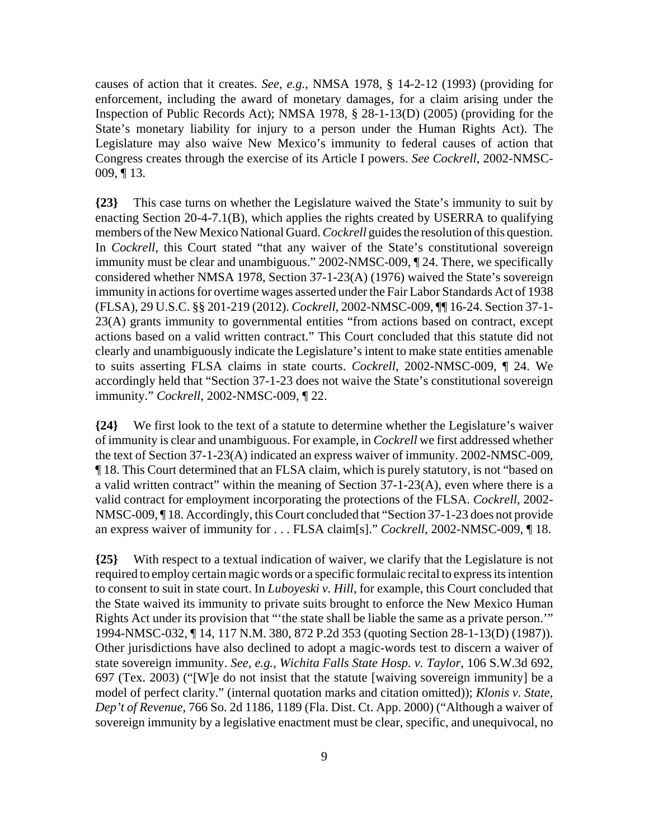causes of action that it creates. *See, e.g.*, NMSA 1978, § 14-2-12 (1993) (providing for enforcement, including the award of monetary damages, for a claim arising under the Inspection of Public Records Act); NMSA 1978, § 28-1-13(D) (2005) (providing for the State's monetary liability for injury to a person under the Human Rights Act). The Legislature may also waive New Mexico's immunity to federal causes of action that Congress creates through the exercise of its Article I powers. *See Cockrell*, 2002-NMSC-009, ¶ 13.

**{23}** This case turns on whether the Legislature waived the State's immunity to suit by enacting Section 20-4-7.1(B), which applies the rights created by USERRA to qualifying members of the New Mexico National Guard. *Cockrell* guides the resolution of this question. In *Cockrell*, this Court stated "that any waiver of the State's constitutional sovereign immunity must be clear and unambiguous." 2002-NMSC-009, ¶ 24. There, we specifically considered whether NMSA 1978, Section 37-1-23(A) (1976) waived the State's sovereign immunity in actions for overtime wages asserted under the Fair Labor Standards Act of 1938 (FLSA), 29 U.S.C. §§ 201-219 (2012). *Cockrell*, 2002-NMSC-009, ¶¶ 16-24. Section 37-1- 23(A) grants immunity to governmental entities "from actions based on contract, except actions based on a valid written contract." This Court concluded that this statute did not clearly and unambiguously indicate the Legislature's intent to make state entities amenable to suits asserting FLSA claims in state courts. *Cockrell*, 2002-NMSC-009, ¶ 24. We accordingly held that "Section 37-1-23 does not waive the State's constitutional sovereign immunity." *Cockrell*, 2002-NMSC-009, ¶ 22.

**{24}** We first look to the text of a statute to determine whether the Legislature's waiver of immunity is clear and unambiguous. For example, in *Cockrell* we first addressed whether the text of Section 37-1-23(A) indicated an express waiver of immunity. 2002-NMSC-009, ¶ 18. This Court determined that an FLSA claim, which is purely statutory, is not "based on a valid written contract" within the meaning of Section 37-1-23(A), even where there is a valid contract for employment incorporating the protections of the FLSA. *Cockrell*, 2002- NMSC-009, ¶ 18. Accordingly, this Court concluded that "Section 37-1-23 does not provide an express waiver of immunity for . . . FLSA claim[s]." *Cockrell*, 2002-NMSC-009, ¶ 18.

**{25}** With respect to a textual indication of waiver, we clarify that the Legislature is not required to employ certain magic words or a specific formulaic recital to express its intention to consent to suit in state court. In *Luboyeski v. Hill*, for example, this Court concluded that the State waived its immunity to private suits brought to enforce the New Mexico Human Rights Act under its provision that "'the state shall be liable the same as a private person.'" 1994-NMSC-032, ¶ 14, 117 N.M. 380, 872 P.2d 353 (quoting Section 28-1-13(D) (1987)). Other jurisdictions have also declined to adopt a magic-words test to discern a waiver of state sovereign immunity. *See, e.g.*, *Wichita Falls State Hosp. v. Taylor*, 106 S.W.3d 692, 697 (Tex. 2003) ("[W]e do not insist that the statute [waiving sovereign immunity] be a model of perfect clarity." (internal quotation marks and citation omitted)); *Klonis v. State, Dep't of Revenue*, 766 So. 2d 1186, 1189 (Fla. Dist. Ct. App. 2000) ("Although a waiver of sovereign immunity by a legislative enactment must be clear, specific, and unequivocal, no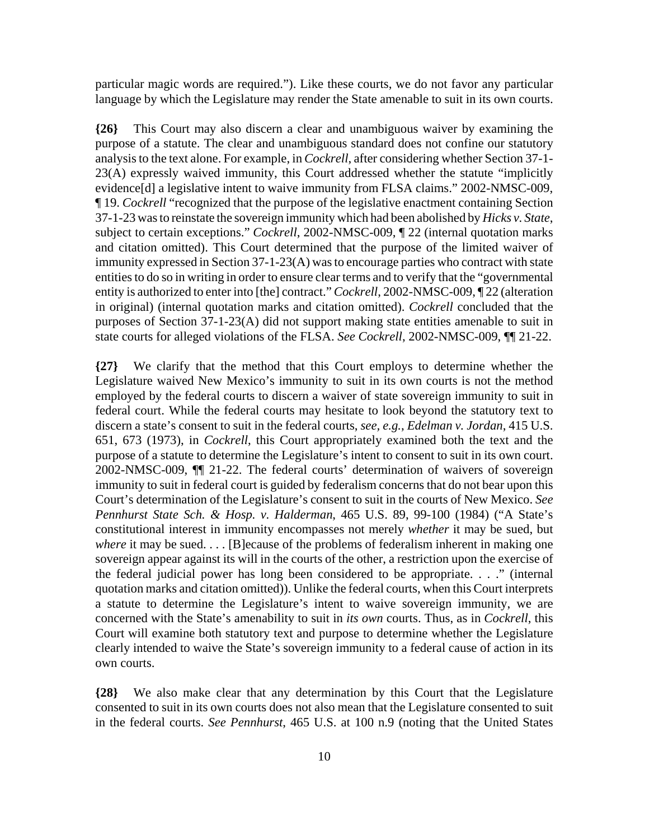particular magic words are required."). Like these courts, we do not favor any particular language by which the Legislature may render the State amenable to suit in its own courts.

**{26}** This Court may also discern a clear and unambiguous waiver by examining the purpose of a statute. The clear and unambiguous standard does not confine our statutory analysis to the text alone. For example, in *Cockrell*, after considering whether Section 37-1- 23(A) expressly waived immunity, this Court addressed whether the statute "implicitly evidence[d] a legislative intent to waive immunity from FLSA claims." 2002-NMSC-009, ¶ 19. *Cockrell* "recognized that the purpose of the legislative enactment containing Section 37-1-23 was to reinstate the sovereign immunity which had been abolished by *Hicks v. State*, subject to certain exceptions." *Cockrell*, 2002-NMSC-009, ¶ 22 (internal quotation marks and citation omitted). This Court determined that the purpose of the limited waiver of immunity expressed in Section 37-1-23(A) was to encourage parties who contract with state entities to do so in writing in order to ensure clear terms and to verify that the "governmental entity is authorized to enter into [the] contract." *Cockrell*, 2002-NMSC-009, ¶ 22 (alteration in original) (internal quotation marks and citation omitted). *Cockrell* concluded that the purposes of Section 37-1-23(A) did not support making state entities amenable to suit in state courts for alleged violations of the FLSA. *See Cockrell*, 2002-NMSC-009, ¶¶ 21-22.

**{27}** We clarify that the method that this Court employs to determine whether the Legislature waived New Mexico's immunity to suit in its own courts is not the method employed by the federal courts to discern a waiver of state sovereign immunity to suit in federal court. While the federal courts may hesitate to look beyond the statutory text to discern a state's consent to suit in the federal courts, *see, e.g.*, *Edelman v. Jordan*, 415 U.S. 651, 673 (1973), in *Cockrell*, this Court appropriately examined both the text and the purpose of a statute to determine the Legislature's intent to consent to suit in its own court. 2002-NMSC-009, ¶¶ 21-22. The federal courts' determination of waivers of sovereign immunity to suit in federal court is guided by federalism concerns that do not bear upon this Court's determination of the Legislature's consent to suit in the courts of New Mexico. *See Pennhurst State Sch. & Hosp. v. Halderman*, 465 U.S. 89, 99-100 (1984) ("A State's constitutional interest in immunity encompasses not merely *whether* it may be sued, but *where* it may be sued. . . . [B] ecause of the problems of federalism inherent in making one sovereign appear against its will in the courts of the other, a restriction upon the exercise of the federal judicial power has long been considered to be appropriate. . . ." (internal quotation marks and citation omitted)). Unlike the federal courts, when this Court interprets a statute to determine the Legislature's intent to waive sovereign immunity, we are concerned with the State's amenability to suit in *its own* courts. Thus, as in *Cockrell*, this Court will examine both statutory text and purpose to determine whether the Legislature clearly intended to waive the State's sovereign immunity to a federal cause of action in its own courts.

**{28}** We also make clear that any determination by this Court that the Legislature consented to suit in its own courts does not also mean that the Legislature consented to suit in the federal courts. *See Pennhurst*, 465 U.S. at 100 n.9 (noting that the United States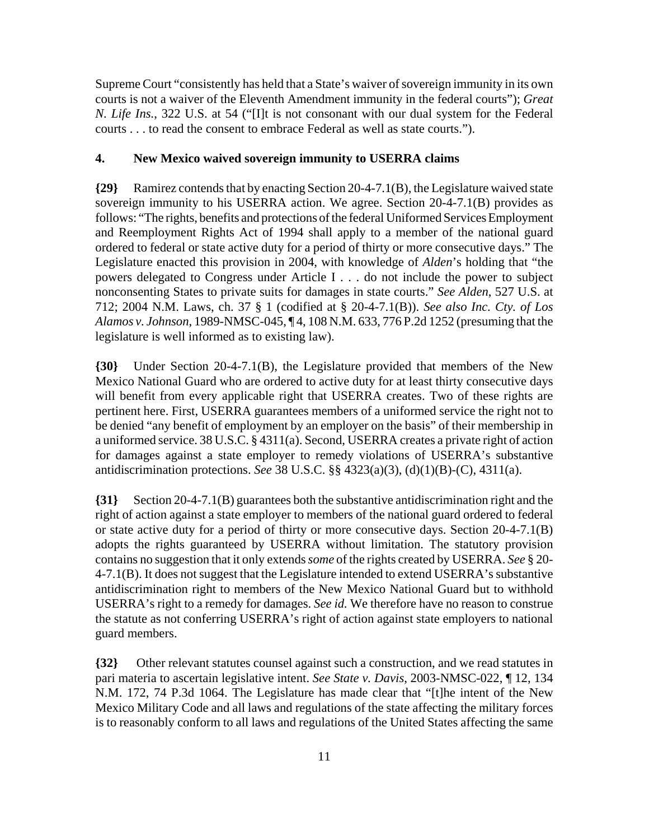Supreme Court "consistently has held that a State's waiver of sovereign immunity in its own courts is not a waiver of the Eleventh Amendment immunity in the federal courts"); *Great N. Life Ins.*, 322 U.S. at 54 ("[I]t is not consonant with our dual system for the Federal courts . . . to read the consent to embrace Federal as well as state courts.").

# **4. New Mexico waived sovereign immunity to USERRA claims**

**{29}** Ramirez contends that by enacting Section 20-4-7.1(B), the Legislature waived state sovereign immunity to his USERRA action. We agree. Section 20-4-7.1(B) provides as follows: "The rights, benefits and protections of the federal Uniformed Services Employment and Reemployment Rights Act of 1994 shall apply to a member of the national guard ordered to federal or state active duty for a period of thirty or more consecutive days." The Legislature enacted this provision in 2004, with knowledge of *Alden*'s holding that "the powers delegated to Congress under Article I . . . do not include the power to subject nonconsenting States to private suits for damages in state courts." *See Alden*, 527 U.S. at 712; 2004 N.M. Laws, ch. 37 § 1 (codified at § 20-4-7.1(B)). *See also Inc. Cty. of Los Alamos v. Johnson*, 1989-NMSC-045, ¶ 4, 108 N.M. 633, 776 P.2d 1252 (presuming that the legislature is well informed as to existing law).

**{30}** Under Section 20-4-7.1(B), the Legislature provided that members of the New Mexico National Guard who are ordered to active duty for at least thirty consecutive days will benefit from every applicable right that USERRA creates. Two of these rights are pertinent here. First, USERRA guarantees members of a uniformed service the right not to be denied "any benefit of employment by an employer on the basis" of their membership in a uniformed service. 38 U.S.C. § 4311(a). Second, USERRA creates a private right of action for damages against a state employer to remedy violations of USERRA's substantive antidiscrimination protections. *See* 38 U.S.C. §§ 4323(a)(3), (d)(1)(B)-(C), 4311(a).

**{31}** Section 20-4-7.1(B) guarantees both the substantive antidiscrimination right and the right of action against a state employer to members of the national guard ordered to federal or state active duty for a period of thirty or more consecutive days. Section 20-4-7.1(B) adopts the rights guaranteed by USERRA without limitation. The statutory provision contains no suggestion that it only extends *some* of the rights created by USERRA. *See* § 20- 4-7.1(B). It does not suggest that the Legislature intended to extend USERRA's substantive antidiscrimination right to members of the New Mexico National Guard but to withhold USERRA's right to a remedy for damages. *See id.* We therefore have no reason to construe the statute as not conferring USERRA's right of action against state employers to national guard members.

**{32}** Other relevant statutes counsel against such a construction, and we read statutes in pari materia to ascertain legislative intent. *See State v. Davis*, 2003-NMSC-022, ¶ 12, 134 N.M. 172, 74 P.3d 1064. The Legislature has made clear that "[t]he intent of the New Mexico Military Code and all laws and regulations of the state affecting the military forces is to reasonably conform to all laws and regulations of the United States affecting the same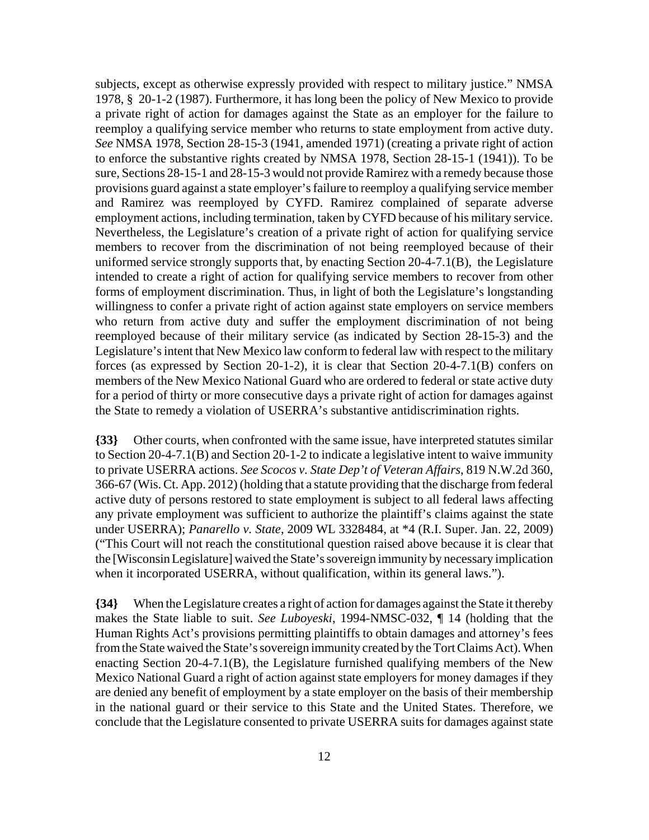subjects, except as otherwise expressly provided with respect to military justice." NMSA 1978, § 20-1-2 (1987). Furthermore, it has long been the policy of New Mexico to provide a private right of action for damages against the State as an employer for the failure to reemploy a qualifying service member who returns to state employment from active duty. *See* NMSA 1978, Section 28-15-3 (1941, amended 1971) (creating a private right of action to enforce the substantive rights created by NMSA 1978, Section 28-15-1 (1941)). To be sure, Sections 28-15-1 and 28-15-3 would not provide Ramirez with a remedy because those provisions guard against a state employer's failure to reemploy a qualifying service member and Ramirez was reemployed by CYFD. Ramirez complained of separate adverse employment actions, including termination, taken by CYFD because of his military service. Nevertheless, the Legislature's creation of a private right of action for qualifying service members to recover from the discrimination of not being reemployed because of their uniformed service strongly supports that, by enacting Section 20-4-7.1(B), the Legislature intended to create a right of action for qualifying service members to recover from other forms of employment discrimination. Thus, in light of both the Legislature's longstanding willingness to confer a private right of action against state employers on service members who return from active duty and suffer the employment discrimination of not being reemployed because of their military service (as indicated by Section 28-15-3) and the Legislature's intent that New Mexico law conform to federal law with respect to the military forces (as expressed by Section 20-1-2), it is clear that Section 20-4-7.1(B) confers on members of the New Mexico National Guard who are ordered to federal or state active duty for a period of thirty or more consecutive days a private right of action for damages against the State to remedy a violation of USERRA's substantive antidiscrimination rights.

**{33}** Other courts, when confronted with the same issue, have interpreted statutes similar to Section 20-4-7.1(B) and Section 20-1-2 to indicate a legislative intent to waive immunity to private USERRA actions. *See Scocos v. State Dep't of Veteran Affairs*, 819 N.W.2d 360, 366-67 (Wis. Ct. App. 2012) (holding that a statute providing that the discharge from federal active duty of persons restored to state employment is subject to all federal laws affecting any private employment was sufficient to authorize the plaintiff's claims against the state under USERRA); *Panarello v. State*, 2009 WL 3328484, at \*4 (R.I. Super. Jan. 22, 2009) ("This Court will not reach the constitutional question raised above because it is clear that the [Wisconsin Legislature] waived the State's sovereign immunity by necessary implication when it incorporated USERRA, without qualification, within its general laws.").

**{34}** When the Legislature creates a right of action for damages against the State it thereby makes the State liable to suit. *See Luboyeski*, 1994-NMSC-032, ¶ 14 (holding that the Human Rights Act's provisions permitting plaintiffs to obtain damages and attorney's fees from the State waived the State's sovereign immunity created by the Tort Claims Act). When enacting Section 20-4-7.1(B), the Legislature furnished qualifying members of the New Mexico National Guard a right of action against state employers for money damages if they are denied any benefit of employment by a state employer on the basis of their membership in the national guard or their service to this State and the United States. Therefore, we conclude that the Legislature consented to private USERRA suits for damages against state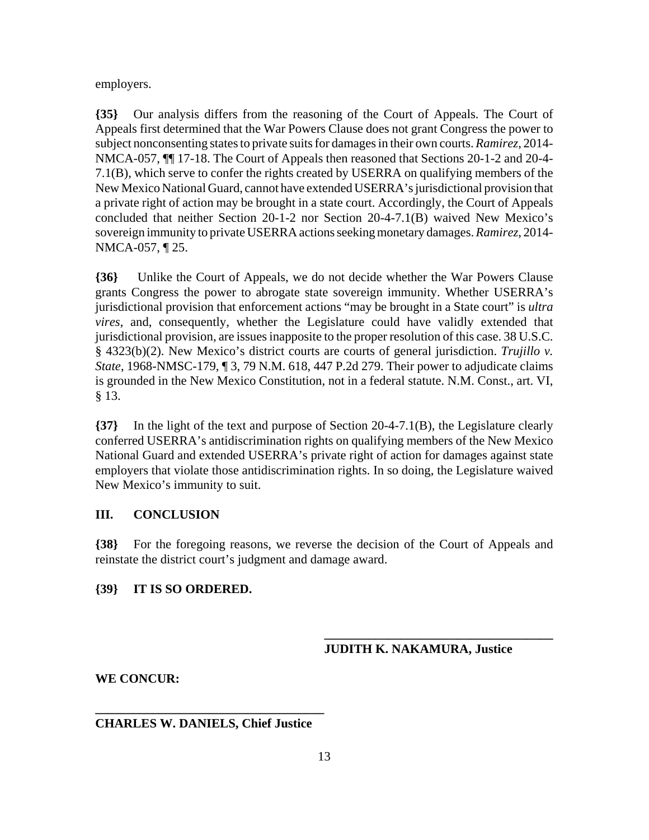employers.

**{35}** Our analysis differs from the reasoning of the Court of Appeals. The Court of Appeals first determined that the War Powers Clause does not grant Congress the power to subject nonconsenting states to private suits for damages in their own courts. *Ramirez*, 2014- NMCA-057, ¶¶ 17-18. The Court of Appeals then reasoned that Sections 20-1-2 and 20-4- 7.1(B), which serve to confer the rights created by USERRA on qualifying members of the New Mexico National Guard, cannot have extended USERRA's jurisdictional provision that a private right of action may be brought in a state court. Accordingly, the Court of Appeals concluded that neither Section 20-1-2 nor Section 20-4-7.1(B) waived New Mexico's sovereign immunity to private USERRA actions seeking monetary damages. *Ramirez*, 2014- NMCA-057, ¶ 25.

**{36}** Unlike the Court of Appeals, we do not decide whether the War Powers Clause grants Congress the power to abrogate state sovereign immunity. Whether USERRA's jurisdictional provision that enforcement actions "may be brought in a State court" is *ultra vires*, and, consequently, whether the Legislature could have validly extended that jurisdictional provision, are issues inapposite to the proper resolution of this case. 38 U.S.C. § 4323(b)(2). New Mexico's district courts are courts of general jurisdiction. *Trujillo v. State*, 1968-NMSC-179, ¶ 3, 79 N.M. 618, 447 P.2d 279. Their power to adjudicate claims is grounded in the New Mexico Constitution, not in a federal statute. N.M. Const., art. VI, § 13.

**{37}** In the light of the text and purpose of Section 20-4-7.1(B), the Legislature clearly conferred USERRA's antidiscrimination rights on qualifying members of the New Mexico National Guard and extended USERRA's private right of action for damages against state employers that violate those antidiscrimination rights. In so doing, the Legislature waived New Mexico's immunity to suit.

## **III. CONCLUSION**

**{38}** For the foregoing reasons, we reverse the decision of the Court of Appeals and reinstate the district court's judgment and damage award.

# **{39} IT IS SO ORDERED.**

**JUDITH K. NAKAMURA, Justice**

**\_\_\_\_\_\_\_\_\_\_\_\_\_\_\_\_\_\_\_\_\_\_\_\_\_\_\_\_\_\_\_\_\_\_\_\_**

## **WE CONCUR:**

# **\_\_\_\_\_\_\_\_\_\_\_\_\_\_\_\_\_\_\_\_\_\_\_\_\_\_\_\_\_\_\_\_\_\_\_\_ CHARLES W. DANIELS, Chief Justice**